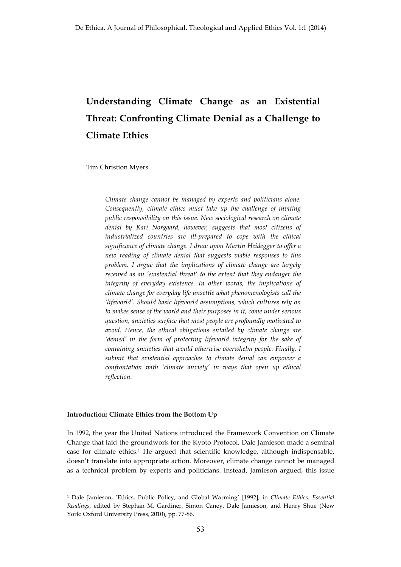# **Understanding Climate Change as an Existential Threat: Confronting Climate Denial as a Challenge to Climate Ethics**

Tim Christion Myers

*Climate change cannot be managed by experts and politicians alone. Consequently, climate ethics must take up the challenge of inviting public responsibility on this issue. New sociological research on climate denial by Kari Norgaard, however, suggests that most citizens of industrialized countries are ill-prepared to cope with the ethical significance of climate change. I draw upon Martin Heidegger to offer a new reading of climate denial that suggests viable responses to this problem. I argue that the implications of climate change are largely received as an 'existential threat' to the extent that they endanger the integrity of everyday existence. In other words, the implications of climate change for everyday life unsettle what phenomenologists call the 'lifeworld'. Should basic lifeworld assumptions, which cultures rely on to makes sense of the world and their purposes in it, come under serious question, anxieties surface that most people are profoundly motivated to avoid. Hence, the ethical obligations entailed by climate change are 'denied' in the form of protecting lifeworld integrity for the sake of containing anxieties that would otherwise overwhelm people. Finally, I submit that existential approaches to climate denial can empower a confrontation with 'climate anxiety' in ways that open up ethical reflection.*

## **Introduction: Climate Ethics from the Bottom Up**

In 1992, the year the United Nations introduced the Framework Convention on Climate Change that laid the groundwork for the Kyoto Protocol, Dale Jamieson made a seminal case for climate ethics.1 He argued that scientific knowledge, although indispensable, doesn't translate into appropriate action. Moreover, climate change cannot be managed as a technical problem by experts and politicians. Instead, Jamieson argued, this issue

<sup>1</sup> Dale Jamieson, 'Ethics, Public Policy, and Global Warming' [1992], in *Climate Ethics: Essential Readings*, edited by Stephan M. Gardiner, Simon Caney, Dale Jamieson, and Henry Shue (New York: Oxford University Press, 2010), pp. 77-86.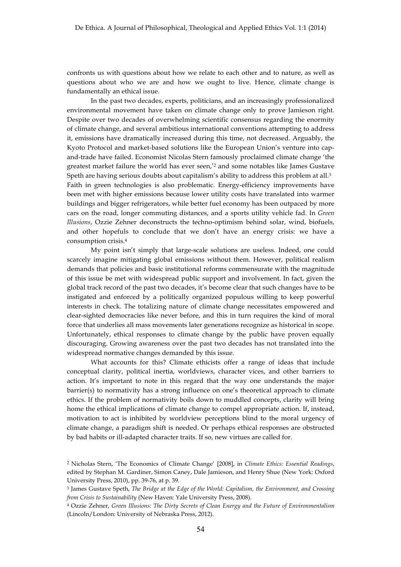confronts us with questions about how we relate to each other and to nature, as well as questions about who we are and how we ought to live. Hence, climate change is fundamentally an ethical issue.

In the past two decades, experts, politicians, and an increasingly professionalized environmental movement have taken on climate change only to prove Jamieson right. Despite over two decades of overwhelming scientific consensus regarding the enormity of climate change, and several ambitious international conventions attempting to address it, emissions have dramatically increased during this time, not decreased. Arguably, the Kyoto Protocol and market-based solutions like the European Union's venture into capand-trade have failed. Economist Nicolas Stern famously proclaimed climate change 'the greatest market failure the world has ever seen,'2 and some notables like James Gustave Speth are having serious doubts about capitalism's ability to address this problem at all.<sup>3</sup> Faith in green technologies is also problematic. Energy-efficiency improvements have been met with higher emissions because lower utility costs have translated into warmer buildings and bigger refrigerators, while better fuel economy has been outpaced by more cars on the road, longer commuting distances, and a sports utility vehicle fad. In *Green Illusions*, Ozzie Zehner deconstructs the techno-optimism behind solar, wind, biofuels, and other hopefuls to conclude that we don't have an energy crisis: we have a consumption crisis.4

My point isn't simply that large-scale solutions are useless. Indeed, one could scarcely imagine mitigating global emissions without them. However, political realism demands that policies and basic institutional reforms commensurate with the magnitude of this issue be met with widespread public support and involvement. In fact, given the global track record of the past two decades, it's become clear that such changes have to be instigated and enforced by a politically organized populous willing to keep powerful interests in check. The totalizing nature of climate change necessitates empowered and clear-sighted democracies like never before, and this in turn requires the kind of moral force that underlies all mass movements later generations recognize as historical in scope. Unfortunately, ethical responses to climate change by the public have proven equally discouraging. Growing awareness over the past two decades has not translated into the widespread normative changes demanded by this issue.

What accounts for this? Climate ethicists offer a range of ideas that include conceptual clarity, political inertia, worldviews, character vices, and other barriers to action. It's important to note in this regard that the way one understands the major barrier(s) to normativity has a strong influence on one's theoretical approach to climate ethics. If the problem of normativity boils down to muddled concepts, clarity will bring home the ethical implications of climate change to compel appropriate action. If, instead, motivation to act is inhibited by worldview perceptions blind to the moral urgency of climate change, a paradigm shift is needed. Or perhaps ethical responses are obstructed by bad habits or ill-adapted character traits. If so, new virtues are called for.

<sup>2</sup> Nicholas Stern, 'The Economics of Climate Change' [2008], in *Climate Ethics: Essential Readings*, edited by Stephan M. Gardiner, Simon Caney, Dale Jamieson, and Henry Shue (New York: Oxford University Press, 2010), pp. 39-76, at p. 39.

<sup>3</sup> James Gustave Speth, *The Bridge at the Edge of the World: Capitalism, the Environment, and Crossing from Crisis to Sustainability* (New Haven: Yale University Press, 2008).

<sup>4</sup> Ozzie Zehner, *Green Illusions: The Dirty Secrets of Clean Energy and the Future of Environmentalism* (Lincoln/London: University of Nebraska Press, 2012).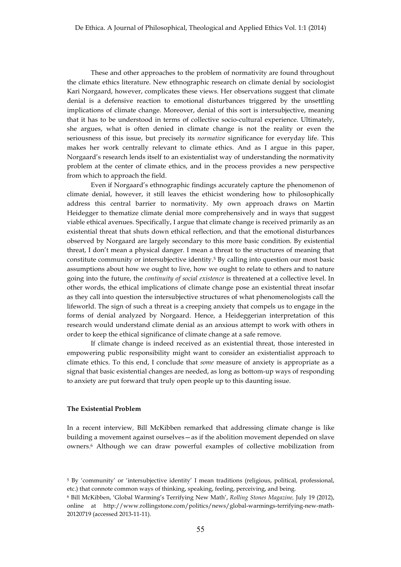These and other approaches to the problem of normativity are found throughout the climate ethics literature. New ethnographic research on climate denial by sociologist Kari Norgaard, however, complicates these views. Her observations suggest that climate denial is a defensive reaction to emotional disturbances triggered by the unsettling implications of climate change. Moreover, denial of this sort is intersubjective, meaning that it has to be understood in terms of collective socio-cultural experience. Ultimately, she argues, what is often denied in climate change is not the reality or even the seriousness of this issue, but precisely its *normative* significance for everyday life. This makes her work centrally relevant to climate ethics. And as I argue in this paper, Norgaard's research lends itself to an existentialist way of understanding the normativity problem at the center of climate ethics, and in the process provides a new perspective from which to approach the field.

Even if Norgaard's ethnographic findings accurately capture the phenomenon of climate denial, however, it still leaves the ethicist wondering how to philosophically address this central barrier to normativity. My own approach draws on Martin Heidegger to thematize climate denial more comprehensively and in ways that suggest viable ethical avenues. Specifically, I argue that climate change is received primarily as an existential threat that shuts down ethical reflection, and that the emotional disturbances observed by Norgaard are largely secondary to this more basic condition. By existential threat, I don't mean a physical danger. I mean a threat to the structures of meaning that constitute community or intersubjective identity.5 By calling into question our most basic assumptions about how we ought to live, how we ought to relate to others and to nature going into the future, the *continuity of social existence* is threatened at a collective level. In other words, the ethical implications of climate change pose an existential threat insofar as they call into question the intersubjective structures of what phenomenologists call the lifeworld. The sign of such a threat is a creeping anxiety that compels us to engage in the forms of denial analyzed by Norgaard. Hence, a Heideggerian interpretation of this research would understand climate denial as an anxious attempt to work with others in order to keep the ethical significance of climate change at a safe remove.

If climate change is indeed received as an existential threat, those interested in empowering public responsibility might want to consider an existentialist approach to climate ethics. To this end, I conclude that *some* measure of anxiety is appropriate as a signal that basic existential changes are needed, as long as bottom-up ways of responding to anxiety are put forward that truly open people up to this daunting issue.

## **The Existential Problem**

In a recent interview*,* Bill McKibben remarked that addressing climate change is like building a movement against ourselves—as if the abolition movement depended on slave owners.6 Although we can draw powerful examples of collective mobilization from

<sup>5</sup> By 'community' or 'intersubjective identity' I mean traditions (religious, political, professional, etc.) that connote common ways of thinking, speaking, feeling, perceiving, and being.

<sup>6</sup> Bill McKibben, 'Global Warming's Terrifying New Math', *Rolling Stones Magazine,* July 19 (2012), online at http://www.rollingstone.com/politics/news/global-warmings-terrifying-new-math-20120719 (accessed 2013-11-11).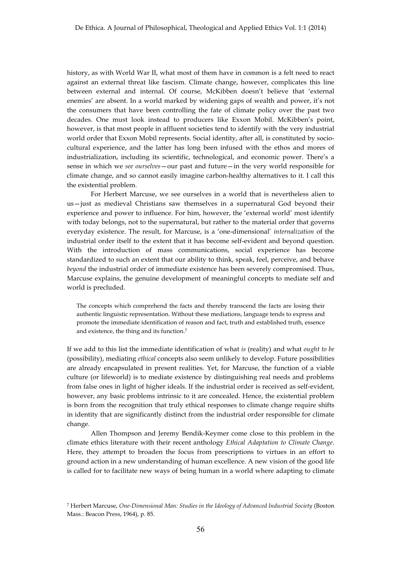history, as with World War II, what most of them have in common is a felt need to react against an external threat like fascism. Climate change, however, complicates this line between external and internal. Of course, McKibben doesn't believe that 'external enemies' are absent. In a world marked by widening gaps of wealth and power, it's not the consumers that have been controlling the fate of climate policy over the past two decades. One must look instead to producers like Exxon Mobil. McKibben's point, however, is that most people in affluent societies tend to identify with the very industrial world order that Exxon Mobil represents. Social identity, after all, is constituted by sociocultural experience, and the latter has long been infused with the ethos and mores of industrialization, including its scientific, technological, and economic power. There's a sense in which we *see ourselves*—our past and future—in the very world responsible for climate change, and so cannot easily imagine carbon-healthy alternatives to it. I call this the existential problem.

For Herbert Marcuse, we see ourselves in a world that is nevertheless alien to us—just as medieval Christians saw themselves in a supernatural God beyond their experience and power to influence. For him, however, the 'external world' most identify with today belongs, not to the supernatural, but rather to the material order that governs everyday existence. The result, for Marcuse, is a 'one-dimensional' *internalization* of the industrial order itself to the extent that it has become self-evident and beyond question. With the introduction of mass communications, social experience has become standardized to such an extent that our ability to think, speak, feel, perceive, and behave *beyond* the industrial order of immediate existence has been severely compromised. Thus, Marcuse explains, the genuine development of meaningful concepts to mediate self and world is precluded.

The concepts which comprehend the facts and thereby transcend the facts are losing their authentic linguistic representation. Without these mediations, language tends to express and promote the immediate identification of reason and fact, truth and established truth, essence and existence, the thing and its function.7

If we add to this list the immediate identification of what *is* (reality) and what *ought to be* (possibility), mediating *ethical* concepts also seem unlikely to develop. Future possibilities are already encapsulated in present realities. Yet, for Marcuse, the function of a viable culture (or lifeworld) is to mediate existence by distinguishing real needs and problems from false ones in light of higher ideals. If the industrial order is received as self-evident, however, any basic problems intrinsic to it are concealed. Hence, the existential problem is born from the recognition that truly ethical responses to climate change require shifts in identity that are significantly distinct from the industrial order responsible for climate change.

Allen Thompson and Jeremy Bendik-Keymer come close to this problem in the climate ethics literature with their recent anthology *Ethical Adaptation to Climate Change*. Here, they attempt to broaden the focus from prescriptions to virtues in an effort to ground action in a new understanding of human excellence. A new vision of the good life is called for to facilitate new ways of being human in a world where adapting to climate

<sup>7</sup> Herbert Marcuse, *One-Dimensional Man: Studies in the Ideology of Advanced Industrial Society* (Boston Mass.: Beacon Press, 1964), p. 85.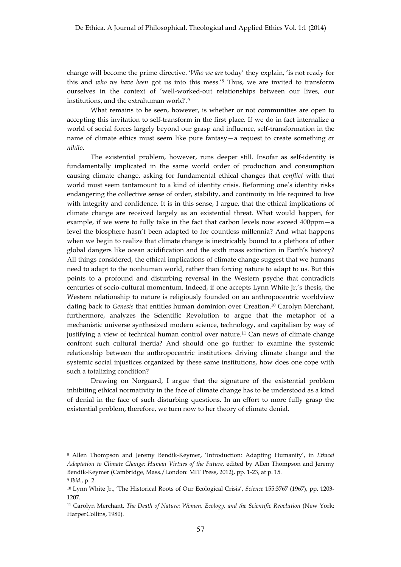change will become the prime directive. '*Who we are* today' they explain, 'is not ready for this and *who we have been* got us into this mess.'8 Thus, we are invited to transform ourselves in the context of 'well-worked-out relationships between our lives, our institutions, and the extrahuman world'.9

What remains to be seen, however, is whether or not communities are open to accepting this invitation to self-transform in the first place. If we do in fact internalize a world of social forces largely beyond our grasp and influence, self-transformation in the name of climate ethics must seem like pure fantasy—a request to create something *ex nihilo*.

The existential problem, however, runs deeper still. Insofar as self-identity is fundamentally implicated in the same world order of production and consumption causing climate change, asking for fundamental ethical changes that *conflict* with that world must seem tantamount to a kind of identity crisis. Reforming one's identity risks endangering the collective sense of order, stability, and continuity in life required to live with integrity and confidence. It is in this sense, I argue, that the ethical implications of climate change are received largely as an existential threat. What would happen, for example, if we were to fully take in the fact that carbon levels now exceed 400ppm—a level the biosphere hasn't been adapted to for countless millennia? And what happens when we begin to realize that climate change is inextricably bound to a plethora of other global dangers like ocean acidification and the sixth mass extinction in Earth's history? All things considered, the ethical implications of climate change suggest that we humans need to adapt to the nonhuman world, rather than forcing nature to adapt to us. But this points to a profound and disturbing reversal in the Western psyche that contradicts centuries of socio-cultural momentum. Indeed, if one accepts Lynn White Jr.'s thesis, the Western relationship to nature is religiously founded on an anthropocentric worldview dating back to *Genesis* that entitles human dominion over Creation.10 Carolyn Merchant, furthermore, analyzes the Scientific Revolution to argue that the metaphor of a mechanistic universe synthesized modern science, technology, and capitalism by way of justifying a view of technical human control over nature.<sup>11</sup> Can news of climate change confront such cultural inertia? And should one go further to examine the systemic relationship between the anthropocentric institutions driving climate change and the systemic social injustices organized by these same institutions, how does one cope with such a totalizing condition?

Drawing on Norgaard, I argue that the signature of the existential problem inhibiting ethical normativity in the face of climate change has to be understood as a kind of denial in the face of such disturbing questions. In an effort to more fully grasp the existential problem, therefore, we turn now to her theory of climate denial.

<sup>8</sup> Allen Thompson and Jeremy Bendik-Keymer, 'Introduction: Adapting Humanity', in *Ethical Adaptation to Climate Change: Human Virtues of the Future*, edited by Allen Thompson and Jeremy Bendik-Keymer (Cambridge, Mass./London: MIT Press, 2012), pp. 1-23, at p. 15.

<sup>9</sup> *Ibid*., p. 2.

<sup>10</sup> Lynn White Jr., 'The Historical Roots of Our Ecological Crisis', *Science* 155:3767 (1967), pp. 1203- 1207.

<sup>11</sup> Carolyn Merchant, *The Death of Nature: Women, Ecology, and the Scientific Revolution* (New York: HarperCollins, 1980).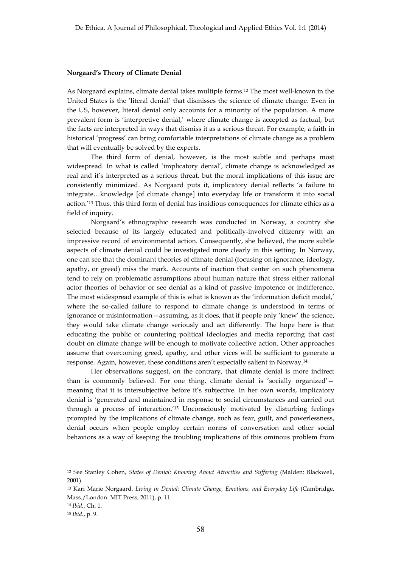#### **Norgaard's Theory of Climate Denial**

As Norgaard explains, climate denial takes multiple forms.12 The most well-known in the United States is the 'literal denial' that dismisses the science of climate change. Even in the US, however, literal denial only accounts for a minority of the population. A more prevalent form is 'interpretive denial,' where climate change is accepted as factual, but the facts are interpreted in ways that dismiss it as a serious threat. For example, a faith in historical 'progress' can bring comfortable interpretations of climate change as a problem that will eventually be solved by the experts.

The third form of denial, however, is the most subtle and perhaps most widespread. In what is called 'implicatory denial', climate change is acknowledged as real and it's interpreted as a serious threat, but the moral implications of this issue are consistently minimized. As Norgaard puts it, implicatory denial reflects 'a failure to integrate…knowledge [of climate change] into everyday life or transform it into social action.'13 Thus, this third form of denial has insidious consequences for climate ethics as a field of inquiry.

Norgaard's ethnographic research was conducted in Norway, a country she selected because of its largely educated and politically-involved citizenry with an impressive record of environmental action. Consequently, she believed, the more subtle aspects of climate denial could be investigated more clearly in this setting. In Norway, one can see that the dominant theories of climate denial (focusing on ignorance, ideology, apathy, or greed) miss the mark. Accounts of inaction that center on such phenomena tend to rely on problematic assumptions about human nature that stress either rational actor theories of behavior or see denial as a kind of passive impotence or indifference. The most widespread example of this is what is known as the 'information deficit model,' where the so-called failure to respond to climate change is understood in terms of ignorance or misinformation—assuming, as it does, that if people only 'knew' the science, they would take climate change seriously and act differently. The hope here is that educating the public or countering political ideologies and media reporting that cast doubt on climate change will be enough to motivate collective action. Other approaches assume that overcoming greed, apathy, and other vices will be sufficient to generate a response. Again, however, these conditions aren't especially salient in Norway.14

Her observations suggest, on the contrary, that climate denial is more indirect than is commonly believed. For one thing, climate denial is 'socially organized' meaning that it is intersubjective before it's subjective. In her own words, implicatory denial is 'generated and maintained in response to social circumstances and carried out through a process of interaction.'15 Unconsciously motivated by disturbing feelings prompted by the implications of climate change, such as fear, guilt, and powerlessness, denial occurs when people employ certain norms of conversation and other social behaviors as a way of keeping the troubling implications of this ominous problem from

<sup>12</sup> See Stanley Cohen, *States of Denial: Knowing About Atrocities and Suffering* (Malden: Blackwell, 2001).

<sup>13</sup> Kari Marie Norgaard, *Living in Denial: Climate Change, Emotions, and Everyday Life* (Cambridge, Mass./London: MIT Press, 2011), p. 11.

<sup>14</sup> *Ibid*., Ch. 1.

<sup>15</sup> *Ibid*., p. 9.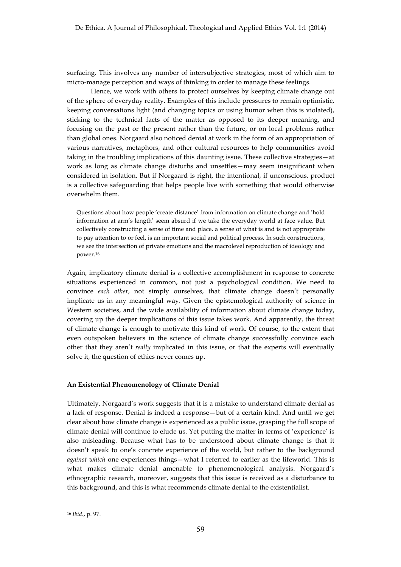surfacing. This involves any number of intersubjective strategies, most of which aim to micro-manage perception and ways of thinking in order to manage these feelings.

Hence, we work with others to protect ourselves by keeping climate change out of the sphere of everyday reality. Examples of this include pressures to remain optimistic, keeping conversations light (and changing topics or using humor when this is violated), sticking to the technical facts of the matter as opposed to its deeper meaning, and focusing on the past or the present rather than the future, or on local problems rather than global ones. Norgaard also noticed denial at work in the form of an appropriation of various narratives, metaphors, and other cultural resources to help communities avoid taking in the troubling implications of this daunting issue. These collective strategies—at work as long as climate change disturbs and unsettles—may seem insignificant when considered in isolation. But if Norgaard is right, the intentional, if unconscious, product is a collective safeguarding that helps people live with something that would otherwise overwhelm them.

Questions about how people 'create distance' from information on climate change and 'hold information at arm's length' seem absurd if we take the everyday world at face value. But collectively constructing a sense of time and place, a sense of what is and is not appropriate to pay attention to or feel, is an important social and political process. In such constructions, we see the intersection of private emotions and the macrolevel reproduction of ideology and power.16

Again, implicatory climate denial is a collective accomplishment in response to concrete situations experienced in common, not just a psychological condition. We need to convince *each other*, not simply ourselves, that climate change doesn't personally implicate us in any meaningful way. Given the epistemological authority of science in Western societies, and the wide availability of information about climate change today, covering up the deeper implications of this issue takes work. And apparently, the threat of climate change is enough to motivate this kind of work. Of course, to the extent that even outspoken believers in the science of climate change successfully convince each other that they aren't *really* implicated in this issue, or that the experts will eventually solve it, the question of ethics never comes up.

### **An Existential Phenomenology of Climate Denial**

Ultimately, Norgaard's work suggests that it is a mistake to understand climate denial as a lack of response. Denial is indeed a response—but of a certain kind. And until we get clear about how climate change is experienced as a public issue, grasping the full scope of climate denial will continue to elude us. Yet putting the matter in terms of 'experience' is also misleading. Because what has to be understood about climate change is that it doesn't speak to one's concrete experience of the world, but rather to the background *against which* one experiences things—what I referred to earlier as the lifeworld. This is what makes climate denial amenable to phenomenological analysis. Norgaard's ethnographic research, moreover, suggests that this issue is received as a disturbance to this background, and this is what recommends climate denial to the existentialist.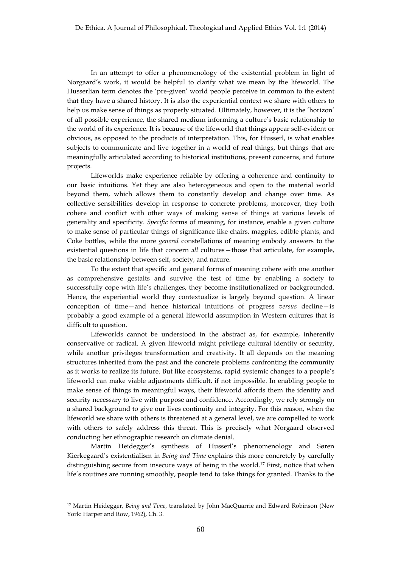In an attempt to offer a phenomenology of the existential problem in light of Norgaard's work, it would be helpful to clarify what we mean by the lifeworld. The Husserlian term denotes the 'pre-given' world people perceive in common to the extent that they have a shared history. It is also the experiential context we share with others to help us make sense of things as properly situated. Ultimately, however, it is the 'horizon' of all possible experience, the shared medium informing a culture's basic relationship to the world of its experience. It is because of the lifeworld that things appear self-evident or obvious, as opposed to the products of interpretation. This, for Husserl, is what enables subjects to communicate and live together in a world of real things, but things that are meaningfully articulated according to historical institutions, present concerns, and future projects.

Lifeworlds make experience reliable by offering a coherence and continuity to our basic intuitions. Yet they are also heterogeneous and open to the material world beyond them, which allows them to constantly develop and change over time. As collective sensibilities develop in response to concrete problems, moreover, they both cohere and conflict with other ways of making sense of things at various levels of generality and specificity. *Specific* forms of meaning, for instance, enable a given culture to make sense of particular things of significance like chairs, magpies, edible plants, and Coke bottles, while the more *general* constellations of meaning embody answers to the existential questions in life that concern *all* cultures—those that articulate, for example, the basic relationship between self, society, and nature.

To the extent that specific and general forms of meaning cohere with one another as comprehensive gestalts and survive the test of time by enabling a society to successfully cope with life's challenges, they become institutionalized or backgrounded. Hence, the experiential world they contextualize is largely beyond question. A linear conception of time—and hence historical intuitions of progress *versus* decline—is probably a good example of a general lifeworld assumption in Western cultures that is difficult to question.

Lifeworlds cannot be understood in the abstract as, for example, inherently conservative or radical. A given lifeworld might privilege cultural identity or security, while another privileges transformation and creativity. It all depends on the meaning structures inherited from the past and the concrete problems confronting the community as it works to realize its future. But like ecosystems, rapid systemic changes to a people's lifeworld can make viable adjustments difficult, if not impossible. In enabling people to make sense of things in meaningful ways, their lifeworld affords them the identity and security necessary to live with purpose and confidence. Accordingly, we rely strongly on a shared background to give our lives continuity and integrity. For this reason, when the lifeworld we share with others is threatened at a general level, we are compelled to work with others to safely address this threat. This is precisely what Norgaard observed conducting her ethnographic research on climate denial.

Martin Heidegger's synthesis of Husserl's phenomenology and Søren Kierkegaard's existentialism in *Being and Time* explains this more concretely by carefully distinguishing secure from insecure ways of being in the world.17 First, notice that when life's routines are running smoothly, people tend to take things for granted. Thanks to the

<sup>17</sup> Martin Heidegger, *Being and Time*, translated by John MacQuarrie and Edward Robinson (New York: Harper and Row, 1962), Ch. 3.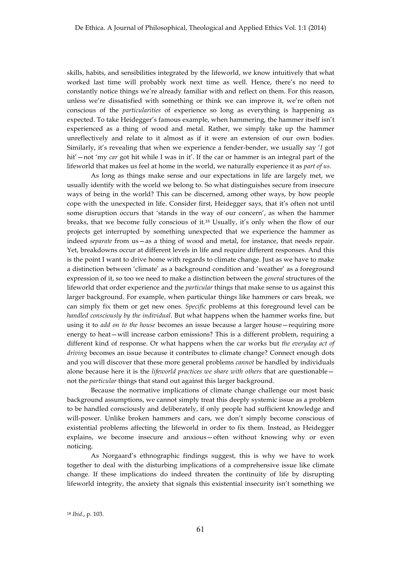skills, habits, and sensibilities integrated by the lifeworld, we know intuitively that what worked last time will probably work next time as well. Hence, there's no need to constantly notice things we're already familiar with and reflect on them. For this reason, unless we're dissatisfied with something or think we can improve it, we're often not conscious of the *particularities* of experience so long as everything is happening as expected. To take Heidegger's famous example, when hammering, the hammer itself isn't experienced as a thing of wood and metal. Rather, we simply take up the hammer unreflectively and relate to it almost as if it were an extension of our own bodies. Similarly, it's revealing that when we experience a fender-bender, we usually say '*I* got hit'—not 'my *car* got hit while I was in it'. If the car or hammer is an integral part of the lifeworld that makes us feel at home in the world, we naturally experience it as *part of us*.

As long as things make sense and our expectations in life are largely met, we usually identify with the world we belong to. So what distinguishes secure from insecure ways of being in the world? This can be discerned, among other ways, by how people cope with the unexpected in life. Consider first, Heidegger says, that it's often not until some disruption occurs that 'stands in the way of our concern', as when the hammer breaks, that we become fully conscious of it.18 Usually, it's only when the flow of our projects get interrupted by something unexpected that we experience the hammer as indeed *separate* from us—as a thing of wood and metal, for instance, that needs repair. Yet, breakdowns occur at different levels in life and require different responses. And this is the point I want to drive home with regards to climate change. Just as we have to make a distinction between 'climate' as a background condition and 'weather' as a foreground expression of it, so too we need to make a distinction between the *general* structures of the lifeworld that order experience and the *particular* things that make sense to us against this larger background. For example, when particular things like hammers or cars break, we can simply fix them or get new ones. *Specific* problems at this foreground level can be *handled consciously by the individual*. But what happens when the hammer works fine, but using it to *add on to the house* becomes an issue because a larger house—requiring more energy to heat—will increase carbon emissions? This is a different problem, requiring a different kind of response. Or what happens when the car works but *the everyday act of driving* becomes an issue because it contributes to climate change? Connect enough dots and you will discover that these more general problems *cannot* be handled by individuals alone because here it is the *lifeworld practices we share with others* that are questionable not the *particular* things that stand out against this larger background.

Because the normative implications of climate change challenge our most basic background assumptions, we cannot simply treat this deeply systemic issue as a problem to be handled consciously and deliberately, if only people had sufficient knowledge and will-power. Unlike broken hammers and cars, we don't simply become conscious of existential problems affecting the lifeworld in order to fix them. Instead, as Heidegger explains, we become insecure and anxious—often without knowing why or even noticing.

As Norgaard's ethnographic findings suggest, this is why we have to work together to deal with the disturbing implications of a comprehensive issue like climate change. If these implications do indeed threaten the continuity of life by disrupting lifeworld integrity, the anxiety that signals this existential insecurity isn't something we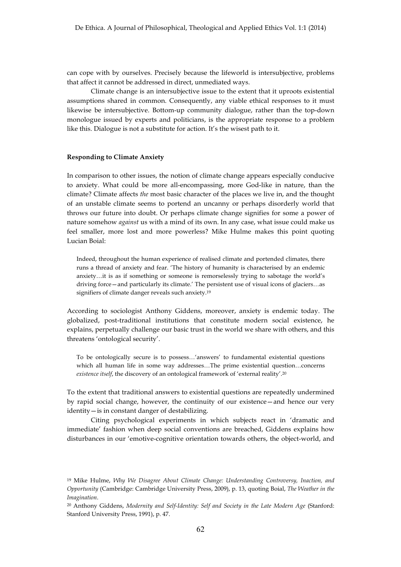can cope with by ourselves. Precisely because the lifeworld is intersubjective, problems that affect it cannot be addressed in direct, unmediated ways.

Climate change is an intersubjective issue to the extent that it uproots existential assumptions shared in common. Consequently, any viable ethical responses to it must likewise be intersubjective. Bottom-up community dialogue, rather than the top-down monologue issued by experts and politicians, is the appropriate response to a problem like this. Dialogue is not a substitute for action. It's the wisest path to it.

### **Responding to Climate Anxiety**

In comparison to other issues, the notion of climate change appears especially conducive to anxiety. What could be more all-encompassing, more God-like in nature, than the climate? Climate affects *the* most basic character of the places we live in, and the thought of an unstable climate seems to portend an uncanny or perhaps disorderly world that throws our future into doubt. Or perhaps climate change signifies for some a power of nature somehow *against* us with a mind of its own. In any case, what issue could make us feel smaller, more lost and more powerless? Mike Hulme makes this point quoting Lucian Boial:

Indeed, throughout the human experience of realised climate and portended climates, there runs a thread of anxiety and fear. 'The history of humanity is characterised by an endemic anxiety…it is as if something or someone is remorselessly trying to sabotage the world's driving force—and particularly its climate.' The persistent use of visual icons of glaciers…as signifiers of climate danger reveals such anxiety.19

According to sociologist Anthony Giddens, moreover, anxiety is endemic today. The globalized, post-traditional institutions that constitute modern social existence, he explains, perpetually challenge our basic trust in the world we share with others, and this threatens 'ontological security'.

To be ontologically secure is to possess…'answers' to fundamental existential questions which all human life in some way addresses…The prime existential question…concerns *existence itself*, the discovery of an ontological framework of 'external reality'.20

To the extent that traditional answers to existential questions are repeatedly undermined by rapid social change, however, the continuity of our existence—and hence our very identity—is in constant danger of destabilizing.

Citing psychological experiments in which subjects react in 'dramatic and immediate' fashion when deep social conventions are breached, Giddens explains how disturbances in our 'emotive-cognitive orientation towards others, the object-world, and

<sup>19</sup> Mike Hulme, *Why We Disagree About Climate Change: Understanding Controversy, Inaction, and Opportunity* (Cambridge: Cambridge University Press, 2009), p. 13, quoting Boial, *The Weather in the Imagination*.

<sup>20</sup> Anthony Giddens, *Modernity and Self-Identity: Self and Society in the Late Modern Age* (Stanford: Stanford University Press, 1991), p. 47.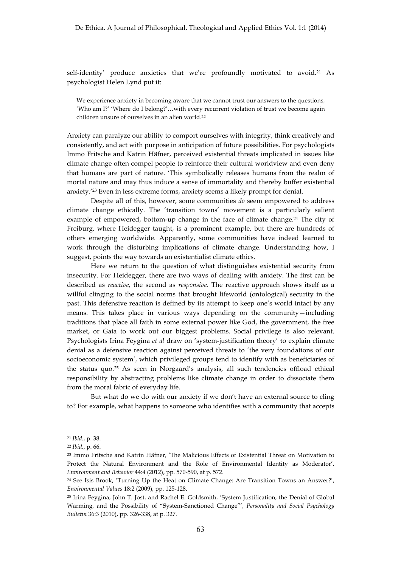self-identity' produce anxieties that we're profoundly motivated to avoid.<sup>21</sup> As psychologist Helen Lynd put it:

We experience anxiety in becoming aware that we cannot trust our answers to the questions, 'Who am I?' 'Where do I belong?'…with every recurrent violation of trust we become again children unsure of ourselves in an alien world.22

Anxiety can paralyze our ability to comport ourselves with integrity, think creatively and consistently, and act with purpose in anticipation of future possibilities. For psychologists Immo Fritsche and Katrin Häfner, perceived existential threats implicated in issues like climate change often compel people to reinforce their cultural worldview and even deny that humans are part of nature. 'This symbolically releases humans from the realm of mortal nature and may thus induce a sense of immortality and thereby buffer existential anxiety.'23 Even in less extreme forms, anxiety seems a likely prompt for denial.

Despite all of this, however, some communities *do* seem empowered to address climate change ethically. The 'transition towns' movement is a particularly salient example of empowered, bottom-up change in the face of climate change.24 The city of Freiburg, where Heidegger taught, is a prominent example, but there are hundreds of others emerging worldwide. Apparently, some communities have indeed learned to work through the disturbing implications of climate change. Understanding how, I suggest, points the way towards an existentialist climate ethics.

Here we return to the question of what distinguishes existential security from insecurity. For Heidegger, there are two ways of dealing with anxiety. The first can be described as *reactive*, the second as *responsive*. The reactive approach shows itself as a willful clinging to the social norms that brought lifeworld (ontological) security in the past. This defensive reaction is defined by its attempt to keep one's world intact by any means. This takes place in various ways depending on the community—including traditions that place all faith in some external power like God, the government, the free market, or Gaia to work out our biggest problems. Social privilege is also relevant. Psychologists Irina Feygina *et al* draw on 'system-justification theory' to explain climate denial as a defensive reaction against perceived threats to 'the very foundations of our socioeconomic system', which privileged groups tend to identify with as beneficiaries of the status quo.25 As seen in Norgaard's analysis, all such tendencies offload ethical responsibility by abstracting problems like climate change in order to dissociate them from the moral fabric of everyday life.

But what do we do with our anxiety if we don't have an external source to cling to? For example, what happens to someone who identifies with a community that accepts

<sup>21</sup> *Ibid*., p. 38.

<sup>22</sup> *Ibid*., p. 66.

<sup>23</sup> Immo Fritsche and Katrin Häfner, 'The Malicious Effects of Existential Threat on Motivation to Protect the Natural Environment and the Role of Environmental Identity as Moderator', *Environment and Behavior* 44:4 (2012), pp. 570-590, at p. 572.

<sup>24</sup> See Isis Brook, 'Turning Up the Heat on Climate Change: Are Transition Towns an Answer?', *Environmental Values* 18:2 (2009), pp. 125-128.

<sup>25</sup> Irina Feygina, John T. Jost, and Rachel E. Goldsmith, 'System Justification, the Denial of Global Warming, and the Possibility of "System-Sanctioned Change"', *Personality and Social Psychology Bulletin* 36:3 (2010), pp. 326-338, at p. 327.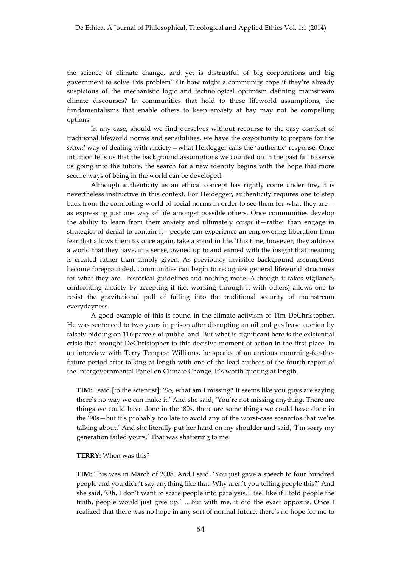the science of climate change, and yet is distrustful of big corporations and big government to solve this problem? Or how might a community cope if they're already suspicious of the mechanistic logic and technological optimism defining mainstream climate discourses? In communities that hold to these lifeworld assumptions, the fundamentalisms that enable others to keep anxiety at bay may not be compelling options.

In any case, should we find ourselves without recourse to the easy comfort of traditional lifeworld norms and sensibilities, we have the opportunity to prepare for the *second* way of dealing with anxiety—what Heidegger calls the 'authentic' response. Once intuition tells us that the background assumptions we counted on in the past fail to serve us going into the future, the search for a new identity begins with the hope that more secure ways of being in the world can be developed.

Although authenticity as an ethical concept has rightly come under fire, it is nevertheless instructive in this context. For Heidegger, authenticity requires one to step back from the comforting world of social norms in order to see them for what they are as expressing just one way of life amongst possible others. Once communities develop the ability to learn from their anxiety and ultimately *accept* it—rather than engage in strategies of denial to contain it—people can experience an empowering liberation from fear that allows them to, once again, take a stand in life. This time, however, they address a world that they have, in a sense, owned up to and earned with the insight that meaning is created rather than simply given. As previously invisible background assumptions become foregrounded, communities can begin to recognize general lifeworld structures for what they are—historical guidelines and nothing more. Although it takes vigilance, confronting anxiety by accepting it (i.e. working through it with others) allows one to resist the gravitational pull of falling into the traditional security of mainstream everydayness.

A good example of this is found in the climate activism of Tim DeChristopher. He was sentenced to two years in prison after disrupting an oil and gas lease auction by falsely bidding on 116 parcels of public land. But what is significant here is the existential crisis that brought DeChristopher to this decisive moment of action in the first place. In an interview with Terry Tempest Williams, he speaks of an anxious mourning-for-thefuture period after talking at length with one of the lead authors of the fourth report of the Intergovernmental Panel on Climate Change. It's worth quoting at length.

**TIM:** I said [to the scientist]: 'So, what am I missing? It seems like you guys are saying there's no way we can make it.' And she said, 'You're not missing anything. There are things we could have done in the '80s, there are some things we could have done in the '90s—but it's probably too late to avoid any of the worst-case scenarios that we're talking about.' And she literally put her hand on my shoulder and said, 'I'm sorry my generation failed yours.' That was shattering to me.

## **TERRY:** When was this?

**TIM:** This was in March of 2008. And I said, 'You just gave a speech to four hundred people and you didn't say anything like that. Why aren't you telling people this?' And she said, 'Oh, I don't want to scare people into paralysis. I feel like if I told people the truth, people would just give up.' …But with me, it did the exact opposite. Once I realized that there was no hope in any sort of normal future, there's no hope for me to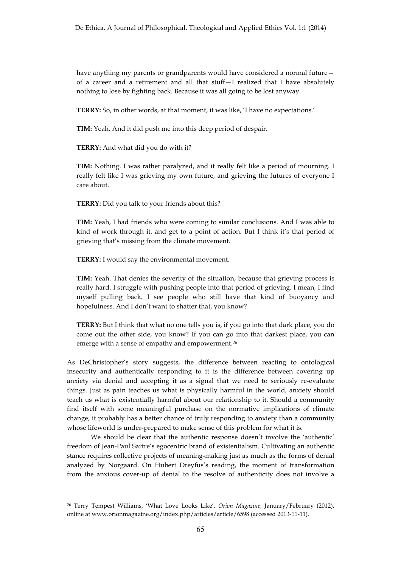have anything my parents or grandparents would have considered a normal future of a career and a retirement and all that stuff—I realized that I have absolutely nothing to lose by fighting back. Because it was all going to be lost anyway.

**TERRY:** So, in other words, at that moment, it was like, 'I have no expectations.'

**TIM:** Yeah. And it did push me into this deep period of despair.

**TERRY:** And what did you do with it?

**TIM:** Nothing. I was rather paralyzed, and it really felt like a period of mourning. I really felt like I was grieving my own future, and grieving the futures of everyone I care about.

**TERRY:** Did you talk to your friends about this?

**TIM:** Yeah, I had friends who were coming to similar conclusions. And I was able to kind of work through it, and get to a point of action. But I think it's that period of grieving that's missing from the climate movement.

**TERRY:** I would say the environmental movement.

**TIM:** Yeah. That denies the severity of the situation, because that grieving process is really hard. I struggle with pushing people into that period of grieving. I mean, I find myself pulling back. I see people who still have that kind of buoyancy and hopefulness. And I don't want to shatter that, you know?

**TERRY:** But I think that what no one tells you is, if you go into that dark place, you do come out the other side, you know? If you can go into that darkest place, you can emerge with a sense of empathy and empowerment.26

As DeChristopher's story suggests, the difference between reacting to ontological insecurity and authentically responding to it is the difference between covering up anxiety via denial and accepting it as a signal that we need to seriously re-evaluate things. Just as pain teaches us what is physically harmful in the world, anxiety should teach us what is existentially harmful about our relationship to it. Should a community find itself with some meaningful purchase on the normative implications of climate change, it probably has a better chance of truly responding to anxiety than a community whose lifeworld is under-prepared to make sense of this problem for what it is.

We should be clear that the authentic response doesn't involve the 'authentic' freedom of Jean-Paul Sartre's egocentric brand of existentialism. Cultivating an authentic stance requires collective projects of meaning-making just as much as the forms of denial analyzed by Norgaard. On Hubert Dreyfus's reading, the moment of transformation from the anxious cover-up of denial to the resolve of authenticity does not involve a

<sup>26</sup> Terry Tempest Williams, 'What Love Looks Like', *Orion Magazine*, January/February (2012), online at www.orionmagazine.org/index.php/articles/article/6598 (accessed 2013-11-11).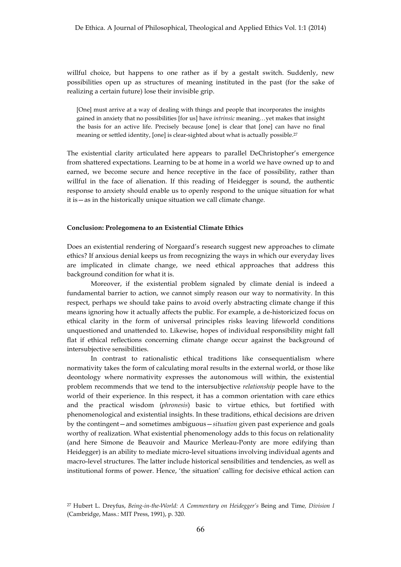willful choice, but happens to one rather as if by a gestalt switch. Suddenly, new possibilities open up as structures of meaning instituted in the past (for the sake of realizing a certain future) lose their invisible grip.

[One] must arrive at a way of dealing with things and people that incorporates the insights gained in anxiety that no possibilities [for us] have *intrinsic* meaning…yet makes that insight the basis for an active life. Precisely because [one] is clear that [one] can have no final meaning or settled identity, [one] is clear-sighted about what is actually possible.27

The existential clarity articulated here appears to parallel DeChristopher's emergence from shattered expectations. Learning to be at home in a world we have owned up to and earned, we become secure and hence receptive in the face of possibility, rather than willful in the face of alienation. If this reading of Heidegger is sound, the authentic response to anxiety should enable us to openly respond to the unique situation for what it is—as in the historically unique situation we call climate change.

#### **Conclusion: Prolegomena to an Existential Climate Ethics**

Does an existential rendering of Norgaard's research suggest new approaches to climate ethics? If anxious denial keeps us from recognizing the ways in which our everyday lives are implicated in climate change, we need ethical approaches that address this background condition for what it is.

Moreover, if the existential problem signaled by climate denial is indeed a fundamental barrier to action, we cannot simply reason our way to normativity. In this respect, perhaps we should take pains to avoid overly abstracting climate change if this means ignoring how it actually affects the public. For example, a de-historicized focus on ethical clarity in the form of universal principles risks leaving lifeworld conditions unquestioned and unattended to. Likewise, hopes of individual responsibility might fall flat if ethical reflections concerning climate change occur against the background of intersubjective sensibilities.

In contrast to rationalistic ethical traditions like consequentialism where normativity takes the form of calculating moral results in the external world, or those like deontology where normativity expresses the autonomous will within, the existential problem recommends that we tend to the intersubjective *relationship* people have to the world of their experience. In this respect, it has a common orientation with care ethics and the practical wisdom (*phronesis*) basic to virtue ethics, but fortified with phenomenological and existential insights. In these traditions, ethical decisions are driven by the contingent—and sometimes ambiguous—*situation* given past experience and goals worthy of realization. What existential phenomenology adds to this focus on relationality (and here Simone de Beauvoir and Maurice Merleau-Ponty are more edifying than Heidegger) is an ability to mediate micro-level situations involving individual agents and macro-level structures. The latter include historical sensibilities and tendencies, as well as institutional forms of power. Hence, 'the situation' calling for decisive ethical action can

<sup>27</sup> Hubert L. Dreyfus, *Being-in-the-World: A Commentary on Heidegger's* Being and Time*, Division I*  (Cambridge, Mass.: MIT Press, 1991), p. 320.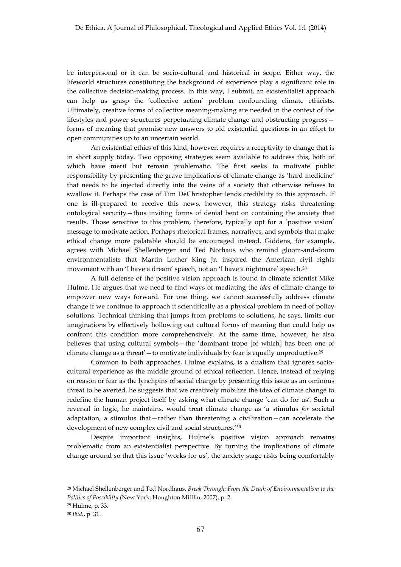be interpersonal or it can be socio-cultural and historical in scope. Either way, the lifeworld structures constituting the background of experience play a significant role in the collective decision-making process. In this way, I submit, an existentialist approach can help us grasp the 'collective action' problem confounding climate ethicists. Ultimately, creative forms of collective meaning-making are needed in the context of the lifestyles and power structures perpetuating climate change and obstructing progress forms of meaning that promise new answers to old existential questions in an effort to open communities up to an uncertain world.

An existential ethics of this kind, however, requires a receptivity to change that is in short supply today. Two opposing strategies seem available to address this, both of which have merit but remain problematic. The first seeks to motivate public responsibility by presenting the grave implications of climate change as 'hard medicine' that needs to be injected directly into the veins of a society that otherwise refuses to swallow it. Perhaps the case of Tim DeChristopher lends credibility to this approach. If one is ill-prepared to receive this news, however, this strategy risks threatening ontological security—thus inviting forms of denial bent on containing the anxiety that results. Those sensitive to this problem, therefore, typically opt for a 'positive vision' message to motivate action. Perhaps rhetorical frames, narratives, and symbols that make ethical change more palatable should be encouraged instead. Giddens, for example, agrees with Michael Shellenberger and Ted Norhaus who remind gloom-and-doom environmentalists that Martin Luther King Jr. inspired the American civil rights movement with an 'I have a dream' speech, not an 'I have a nightmare' speech.28

A full defense of the positive vision approach is found in climate scientist Mike Hulme. He argues that we need to find ways of mediating the *idea* of climate change to empower new ways forward. For one thing, we cannot successfully address climate change if we continue to approach it scientifically as a physical problem in need of policy solutions. Technical thinking that jumps from problems to solutions, he says, limits our imaginations by effectively hollowing out cultural forms of meaning that could help us confront this condition more comprehensively. At the same time, however, he also believes that using cultural symbols—the 'dominant trope [of which] has been one of climate change as a threat'  $-$  to motivate individuals by fear is equally unproductive.<sup>29</sup>

Common to both approaches, Hulme explains, is a dualism that ignores sociocultural experience as the middle ground of ethical reflection. Hence, instead of relying on reason or fear as the lynchpins of social change by presenting this issue as an ominous threat to be averted, he suggests that we creatively mobilize the idea of climate change to redefine the human project itself by asking what climate change 'can do for us'. Such a reversal in logic, he maintains, would treat climate change as 'a stimulus *for* societal adaptation, a stimulus that—rather than threatening a civilization—can accelerate the development of new complex civil and social structures.'30

Despite important insights, Hulme's positive vision approach remains problematic from an existentialist perspective. By turning the implications of climate change around so that this issue 'works for us', the anxiety stage risks being comfortably

<sup>28</sup> Michael Shellenberger and Ted Nordhaus, *Break Through: From the Death of Environmentalism to the Politics of Possibility* (New York: Houghton Mifflin, 2007), p. 2.

<sup>29</sup> Hulme, p. 33.

<sup>30</sup> *Ibid*., p. 31.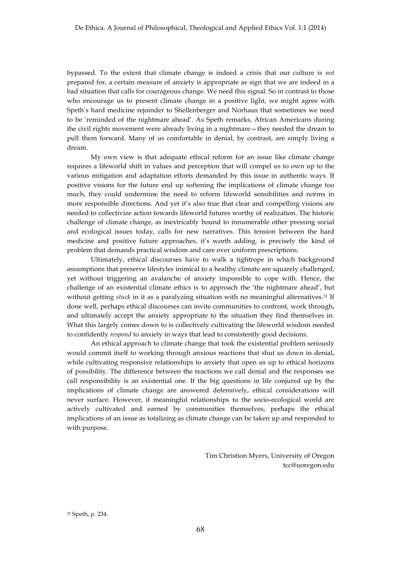bypassed. To the extent that climate change is indeed a crisis that our culture is *not* prepared for, a certain measure of anxiety is appropriate as sign that we are indeed in a bad situation that calls for courageous change. We need this signal. So in contrast to those who encourage us to present climate change in a positive light, we might agree with Speth's hard medicine rejoinder to Shellenberger and Norhaus that sometimes we need to be 'reminded of the nightmare ahead'. As Speth remarks, African Americans during the civil rights movement were already living in a nightmare—they needed the dream to pull them forward. Many of us comfortable in denial, by contrast, are simply living a dream.

My own view is that adequate ethical reform for an issue like climate change requires a lifeworld shift in values and perception that will compel us to own up to the various mitigation and adaptation efforts demanded by this issue in authentic ways. If positive visions for the future end up softening the implications of climate change too much, they could undermine the need to reform lifeworld sensibilities and norms in more responsible directions. And yet it's also true that clear and compelling visions are needed to collectivize action towards lifeworld futures worthy of realization. The historic challenge of climate change, as inextricably bound to innumerable other pressing social and ecological issues today, calls for new narratives. This tension between the hard medicine and positive future approaches, it's worth adding, is precisely the kind of problem that demands practical wisdom and care over uniform prescriptions.

Ultimately, ethical discourses have to walk a tightrope in which background assumptions that preserve lifestyles inimical to a healthy climate are squarely challenged, yet without triggering an avalanche of anxiety impossible to cope with. Hence, the challenge of an existential climate ethics is to approach the 'the nightmare ahead', but without getting *stuck* in it as a paralyzing situation with no meaningful alternatives.<sup>31</sup> If done well, perhaps ethical discourses can invite communities to confront, work through, and ultimately accept the anxiety appropriate to the situation they find themselves in. What this largely comes down to is collectively cultivating the lifeworld wisdom needed to confidently *respond* to anxiety in ways that lead to consistently good decisions.

An ethical approach to climate change that took the existential problem seriously would commit itself to working through anxious reactions that shut us down in denial, while cultivating responsive relationships to anxiety that open us up to ethical horizons of possibility. The difference between the reactions we call denial and the responses we call responsibility is an existential one. If the big questions in life conjured up by the implications of climate change are answered defensively, ethical considerations will never surface. However, if meaningful relationships to the socio-ecological world are actively cultivated and earned by communities themselves, perhaps the ethical implications of an issue as totalizing as climate change can be taken up and responded to with purpose.

> Tim Christion Myers, University of Oregon tcc@uoregon.edu

<sup>31</sup> Speth, p. 234.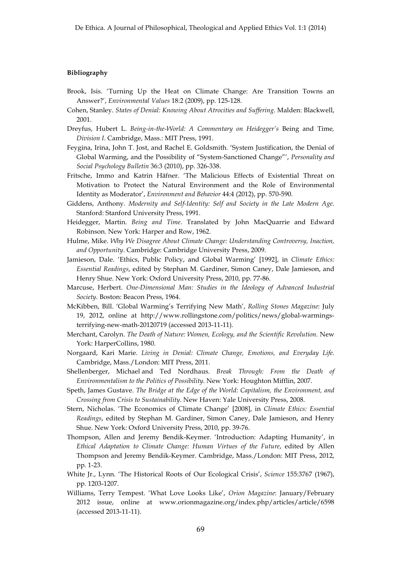### **Bibliography**

- Brook, Isis. 'Turning Up the Heat on Climate Change: Are Transition Towns an Answer?', *Environmental Values* 18:2 (2009), pp. 125-128.
- Cohen, Stanley. *States of Denial: Knowing About Atrocities and Suffering*. Malden: Blackwell, 2001.
- Dreyfus, Hubert L. *Being-in-the-World: A Commentary on Heidegger's* Being and Time*, Division I*. Cambridge, Mass.: MIT Press, 1991.
- Feygina, Irina, John T. Jost, and Rachel E. Goldsmith. 'System Justification, the Denial of Global Warming, and the Possibility of "System-Sanctioned Change"', *Personality and Social Psychology Bulletin* 36:3 (2010), pp. 326-338.
- Fritsche, Immo and Katrin Häfner. 'The Malicious Effects of Existential Threat on Motivation to Protect the Natural Environment and the Role of Environmental Identity as Moderator', *Environment and Behavior* 44:4 (2012), pp. 570-590.
- Giddens, Anthony. *Modernity and Self-Identity: Self and Society in the Late Modern Age*. Stanford: Stanford University Press, 1991.
- Heidegger, Martin. *Being and Time*. Translated by John MacQuarrie and Edward Robinson. New York: Harper and Row, 1962.
- Hulme, Mike. *Why We Disagree About Climate Change: Understanding Controversy, Inaction, and Opportunity*. Cambridge: Cambridge University Press, 2009.
- Jamieson, Dale. 'Ethics, Public Policy, and Global Warming' [1992], in *Climate Ethics: Essential Readings*, edited by Stephan M. Gardiner, Simon Caney, Dale Jamieson, and Henry Shue. New York: Oxford University Press, 2010, pp. 77-86.
- Marcuse, Herbert. *One-Dimensional Man: Studies in the Ideology of Advanced Industrial Society*. Boston: Beacon Press, 1964.
- McKibben, Bill. 'Global Warming's Terrifying New Math', *Rolling Stones Magazine*: July 19, 2012, online at http://www.rollingstone.com/politics/news/global-warmingsterrifying-new-math-20120719 (accessed 2013-11-11).
- Merchant, Carolyn. *The Death of Nature: Women, Ecology, and the Scientific Revolution*. New York: HarperCollins, 1980.
- Norgaard, Kari Marie. *Living in Denial: Climate Change, Emotions, and Everyday Life*. Cambridge, Mass./London: MIT Press, 2011.
- Shellenberger, Michael and Ted Nordhaus. *Break Through: From the Death of Environmentalism to the Politics of Possibility*. New York: Houghton Mifflin, 2007.
- Speth, James Gustave. *The Bridge at the Edge of the World: Capitalism, the Environment, and Crossing from Crisis to Sustainability*. New Haven: Yale University Press, 2008.
- Stern, Nicholas. 'The Economics of Climate Change' [2008], in *Climate Ethics: Essential Readings*, edited by Stephan M. Gardiner, Simon Caney, Dale Jamieson, and Henry Shue. New York: Oxford University Press, 2010, pp. 39-76.
- Thompson, Allen and Jeremy Bendik-Keymer. 'Introduction: Adapting Humanity', in *Ethical Adaptation to Climate Change: Human Virtues of the Future*, edited by Allen Thompson and Jeremy Bendik-Keymer. Cambridge, Mass./London: MIT Press, 2012, pp. 1-23.
- White Jr., Lynn. 'The Historical Roots of Our Ecological Crisis', *Science* 155:3767 (1967), pp. 1203-1207.
- Williams, Terry Tempest. 'What Love Looks Like', *Orion Magazine*: January/February 2012 issue, online at www.orionmagazine.org/index.php/articles/article/6598 (accessed 2013-11-11).